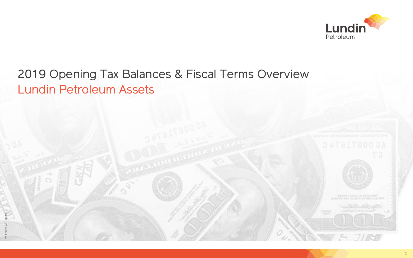



# 2019 Opening Tax Balances & Fiscal Terms Overview Lundin Petroleum Assets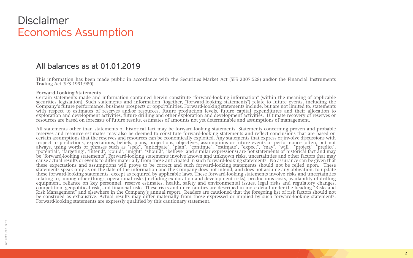# **Disclaimer** Economics Assumption

### All balances as at 01.01.2019

This information has been made public in accordance with the Securities Market Act (SFS 2007:528) and/or the Financial Instruments Trading Act (SFS 1991:980).

### Forward-Looking Statements

Certain statements made and information contained herein constitute "forward-looking information" (within the meaning of applicable securities legislation). Such statements and information (together, "forward-looking statements") relate to future events, including the Company's future performance, business prospects or opportunities. Forward-looking statements include, but are not limited to, statements with respect to estimates of reserves and/or resources, future production levels, future capital expenditures and their allocation to exploration and development activities, future drilling and other exploration and development activities. Ultimate recovery of reserves or resources are based on forecasts of future results, estimates of amounts not yet determinable and assumptions of management.

All statements other than statements of historical fact may be forward-looking statements. Statements concerning proven and probable reserves and resource estimates may also be deemed to constitute forward-looking statements and reflect conclusions that are based on certain assumptions that the reserves and resources can be economically exploited. Any statements that express or involve discussions with respect to predictions, expectations, beliefs, plans, projections, objectives, assumptions or future events or performance (often, but not always, using words or phrases such as "seek", "anticipate", "plan", "continue", "estimate", "expect", "may", "will", "project", "predict", "potential", "targeting", "intend", "could", "might", "should", "believe" and similar expressions) are not statements of historical fact and may be "forward-looking statements". Forward-looking statements involve known and unknown risks, uncertainties and other factors that may cause actual results or events to differ materially from those anticipated in such forward-looking statements. No assurance can be given that these expectations and assumptions will prove to be correct and such forward-looking statements should not be relied upon. These statements speak only as on the date of the information and the Company does not intend, and does not assume any obligation, to update these forward-looking statements, except as required by applicable laws. These forward-looking statements involve risks and uncertainties relating to, among other things, operational risks (including exploration and development risks), productions costs, availability of drilling equipment, reliance on key personnel, reserve estimates, health, safety and environmental issues, legal risks and regulatory changes, competition, geopolitical risk, and financial risks. These risks and uncertainties are described in more detail under the heading "Risks and Risk Management" and elsewhere in the Company's annual report. Readers are cautioned that the foregoing list of risk factors should not be construed as exhaustive. Actual results may differ materially from those expressed or implied by such forward-looking statements. Forward-looking statements are expressly qualified by this cautionary statement.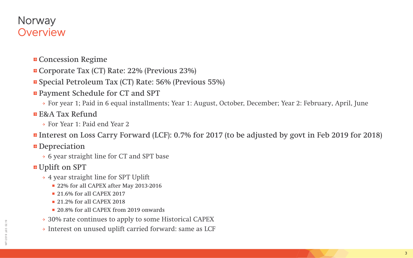# **Norway Overview**

- **E** Concession Regime
- Corporate Tax (CT) Rate: 22% (Previous 23%)
- **B** Special Petroleum Tax (CT) Rate: 56% (Previous 55%)
- **Payment Schedule for CT and SPT** 
	- For year 1; Paid in 6 equal installments; Year 1: August, October, December; Year 2: February, April, June
- E&A Tax Refund
	- For Year 1: Paid end Year 2
- Interest on Loss Carry Forward (LCF): 0.7% for 2017 (to be adjusted by govt in Feb 2019 for 2018)

### **Depreciation**

6 year straight line for CT and SPT base

## Duplift on SPT

- 4 year straight line for SPT Uplift
	- **22% for all CAPEX after May 2013-2016**
	- **21.6% for all CAPEX 2017**
	- **21.2% for all CAPEX 2018**
	- 20.8% for all CAPEX from 2019 onwards
- 30% rate continues to apply to some Historical CAPEX
- Interest on unused uplift carried forward: same as LCF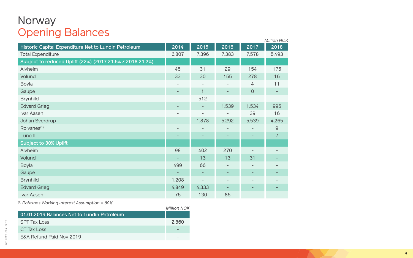# Norway Opening Balances

*(1) Rolvsnes Working Interest Assumption = 80%*

|                                                           |       |                          |       |                          | <b>Million NOK</b> |
|-----------------------------------------------------------|-------|--------------------------|-------|--------------------------|--------------------|
| Historic Capital Expenditure Net to Lundin Petroleum      | 2014  | 2015                     | 2016  | 2017                     | 2018               |
| <b>Total Expenditure</b>                                  | 6,807 | 7,396                    | 7,383 | 7,578                    | 5,493              |
| Subject to reduced Uplift (22%) (2017 21.6% / 2018 21.2%) |       |                          |       |                          |                    |
| Alvheim                                                   | 45    | 31                       | 29    | 154                      | 175                |
| Volund                                                    | 33    | 30                       | 155   | 278                      | 16                 |
| <b>Boyla</b>                                              |       | $\overline{\phantom{m}}$ |       | 4                        | 11                 |
| Gaupe                                                     | -     | $\mathbf{1}$             |       | $\overline{0}$           |                    |
| <b>Brynhild</b>                                           |       | 512                      |       |                          | -                  |
| <b>Edvard Grieg</b>                                       |       | $\qquad \qquad -$        | 1,539 | 1,534                    | 995                |
| Ivar Aasen                                                |       |                          |       | 39                       | 16                 |
| <b>Johan Sverdrup</b>                                     |       | 1,878                    | 5,292 | 5,539                    | 4,265              |
| Rolvsnes <sup>(1)</sup>                                   |       |                          |       |                          | 9                  |
| Luno II                                                   | -     | $\overline{\phantom{a}}$ | -     |                          | $\overline{7}$     |
| <b>Subject to 30% Uplift</b>                              |       |                          |       |                          |                    |
| Alvheim                                                   | 98    | 402                      | 270   |                          |                    |
| Volund                                                    |       | 13                       | 13    | 31                       |                    |
| <b>Boyla</b>                                              | 499   | 66                       |       |                          |                    |
| Gaupe                                                     |       |                          |       |                          |                    |
| <b>Brynhild</b>                                           | 1,208 |                          |       |                          |                    |
| <b>Edvard Grieg</b>                                       | 4,849 | 4,333                    |       | $\overline{\phantom{a}}$ |                    |
| Ivar Aasen                                                | 76    | 130                      | 86    |                          |                    |

|                                             | <b>Million NOK</b> |
|---------------------------------------------|--------------------|
| 01.01.2019 Balances Net to Lundin Petroleum |                    |
| <b>SPT Tax Loss</b>                         | 2,860              |
| CT Tax Loss                                 |                    |
| E&A Refund Paid Nov 2019                    |                    |

4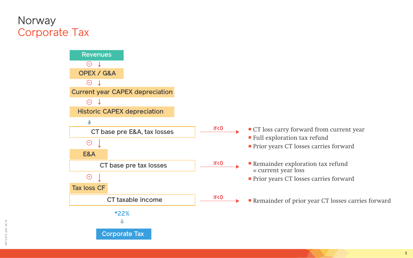**CT** loss carry forward from current year **Prior years CT losses carries forward** 

**Remainder exploration tax refund Prior years CT losses carries forward** 

# **Norway** Corporate Tax



Remainder of prior year CT losses carries forward